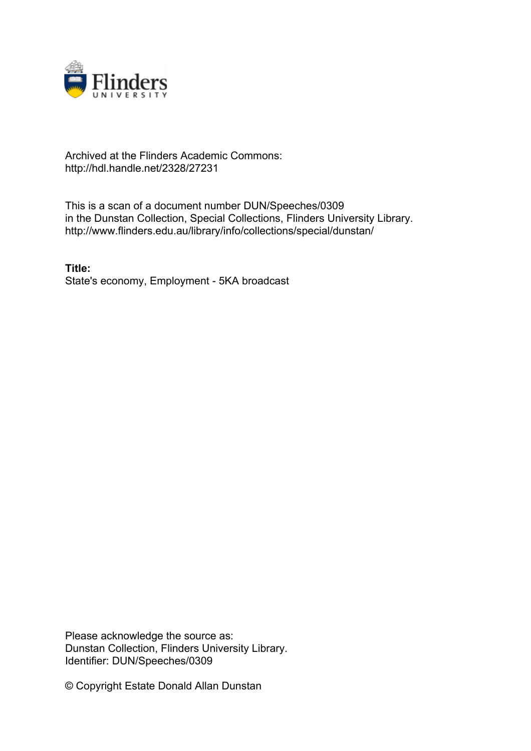

## Archived at the Flinders Academic Commons: http://hdl.handle.net/2328/27231

This is a scan of a document number DUN/Speeches/0309 in the Dunstan Collection, Special Collections, Flinders University Library. http://www.flinders.edu.au/library/info/collections/special/dunstan/

**Title:** State's economy, Employment - 5KA broadcast

Please acknowledge the source as: Dunstan Collection, Flinders University Library. Identifier: DUN/Speeches/0309

© Copyright Estate Donald Allan Dunstan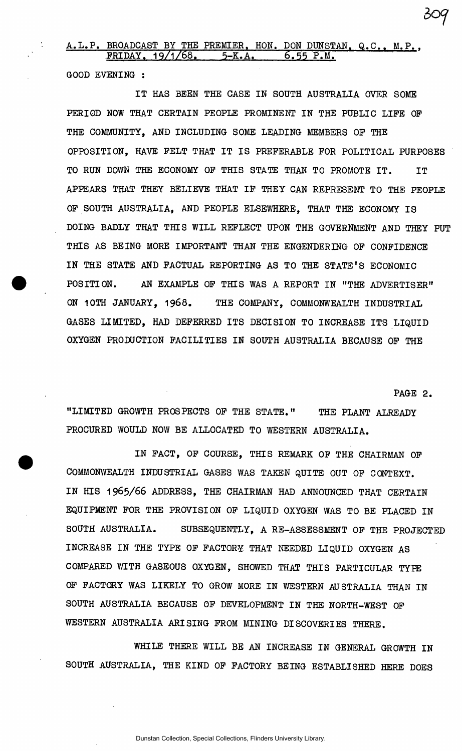## A.L.P. BROADCAST BY THE PREMIER. HON. DON DUNSTAN. Q.C.. M.P.. FRIDAY. 19/1/68. 5-K.A. 6.55 P.M. 6.55 P.M.

GOOD EVENING :

IT HAS BEEN THE CASE IN SOUTH AUSTRALIA OVER SOME PERIOD NOW THAT CERTAIN PEOPLE PROMINENT IN THE PUBLIC LIFE OF THE COMMUNITY, AND INCLUDING SOME LEADING MEMBERS OP THE OPPOSITION, HAVE PELT THAT IT IS PREFERABLE FOR POLITICAL PURPOSES TO RUN DOWN THE ECONOMY OF THIS STATE THAN TO PROMOTE IT. IT APPEARS THAT THEY BELIEVE THAT IF THEY CAN REPRESENT TO THE PEOPLE OF SOUTH AUSTRALIA, AND PEOPLE ELSEWHERE, THAT THE ECONOMY IS DOING BADLY THAT THIS WILL REFLECT UPON THE GOVERNMENT AND THEY PUT THIS AS BEING MORE IMPORTANT THAN THE ENGENDERING OF CONFIDENCE IN THE STATE AND FACTUAL REPORTING AS TO THE STATE'S ECONOMIC POSITION. AN EXAMPLE OF THIS WAS A REPORT IN "THE ADVERTISER" ON 1OTH JANUARY, 1968. THE COMPANY, COMMONWEALTH INDUSTRIAL GASES LIMITED, HAD DEFERRED ITS DECISION TO INCREASE ITS LIQUID OXYGEN PRODUCTION FACILITIES IN SOUTH AUSTRALIA BECAUSE OF THE

PAGE 2.

"LIMITED GROWTH PROSPECTS OF THE STATE." THE PLANT ALREADY PROCURED WOULD NOW BE ALLOCATED TO WESTERN AUSTRALIA.

IN FACT, OF COURSE, THIS REMARK OF THE CHAIRMAN OF COMMONWEALTH INDUSTRIAL GASES WAS TAKEN QUITE OUT OF CONTEXT. IN HIS 1965/66 ADDRESS, THE CHAIRMAN HAD ANNOUNCED THAT CERTAIN EQUIPMENT FOR THE PROVISION OF LIQUID OXYGEN WAS TO BE PLACED IN SOUTH AUSTRALIA. SUBSEQUENTLY, A RE-ASSESSMENT OF THE PROJECTED INCREASE IN THE TYPE OF FACTORY THAT NEEDED LIQUID OXYGEN AS COMPARED WITH GASEOUS OXYGEN, SHOWED THAT THIS PARTICULAR TYPE OF FACTORY WAS LIKELY TO GROW MORE IN WESTERN AUSTRALIA THAN IN SOUTH AUSTRALIA BECAUSE OF DEVELOPMENT IN THE NORTH-WEST OF WESTERN AUSTRALIA ARISING FROM MINING DISCOVERIES THERE.

WHILE THERE WILL BE AN INCREASE IN GENERAL GROWTH IN SOUTH AUSTRALIA, THE KIND OF FACTORY BEING ESTABLISHED HERE DOES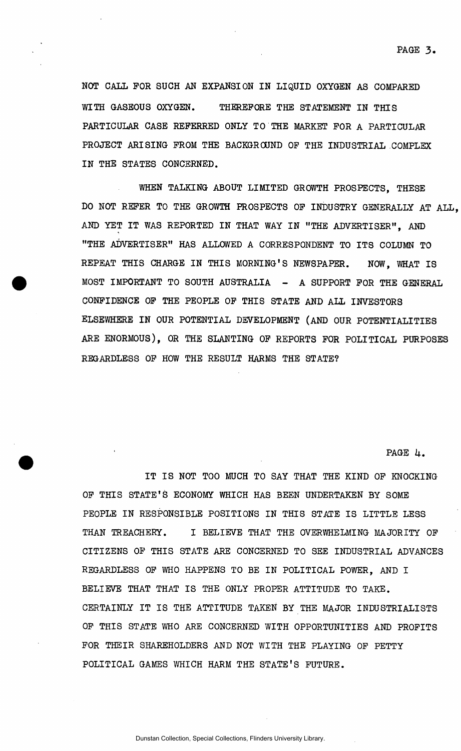NOT CALL FOR SUCH AN EXPANSION IN LIQUID OXYGEN AS COMPARED WITH GASEOUS OXYGEN. THEREFORE THE STATEMENT IN THIS PARTICULAR CASE REFERRED ONLY TO THE MARKET FOR A PARTICULAR PROJECT ARISING FROM THE BACKGROUND OF THE INDUSTRIAL COMPLEX IN THE STATES CONCERNED.

WHEN TALKING ABOUT LIMITED GROWTH PROSPECTS, THESE DO NOT REFER TO THE GROWTH PROSPECTS OF INDUSTRY GENERALLY AT ALL, AND YET IT WAS REPORTED IN THAT WAY IN "THE ADVERTISER", AND "THE ADVERTISER" HAS ALLOWED A CORRESPONDENT TO ITS COLUMN TO REPEAT THIS CHARGE IN THIS MORNING'S NEWSPAPER. NOW, WHAT IS MOST IMPORTANT TO SOUTH AUSTRALIA - A SUPPORT FOR THE GENERAL CONFIDENCE OF THE PEOPLE OF THIS STATE AND ALL INVESTORS ELSEWHERE IN OUR POTENTIAL DEVELOPMENT (AND OUR POTENTIALITIES ARE ENORMOUS), OR THE SLANTING OF REPORTS FOR POLITICAL PURPOSES REGARDLESS OF HOW THE RESULT HARMS THE STATE?

PAGE 4.

IT IS NOT TOO MUCH TO SAY THAT THE KIND OF KNOCKING OF THIS STATE'S ECONOMY WHICH HAS BEEN UNDERTAKEN BY SOME PEOPLE IN RESPONSIBLE POSITIONS IN THIS STATE IS LITTLE LESS THAN TREACHERY. I BELIEVE THAT THE OVERWHELMING MAJORITY OF CITIZENS OF THIS STATE ARE CONCERNED TO SEE INDUSTRIAL ADVANCES REGARDLESS OF WHO HAPPENS TO BE IN POLITICAL POWER, AND I BELIEVE THAT THAT IS THE ONLY PROPER ATTITUDE TO TAKE. CERTAINLY IT IS THE ATTITUDE TAKEN BY THE MAJOR INDUSTRIALISTS OF THIS STATE WHO ARE CONCERNED WITH OPPORTUNITIES AND PROFITS FOR THEIR SHAREHOLDERS AND NOT WITH THE PLAYING OF PETTY POLITICAL GAMES WHICH HARM THE STATE'S FUTURE.